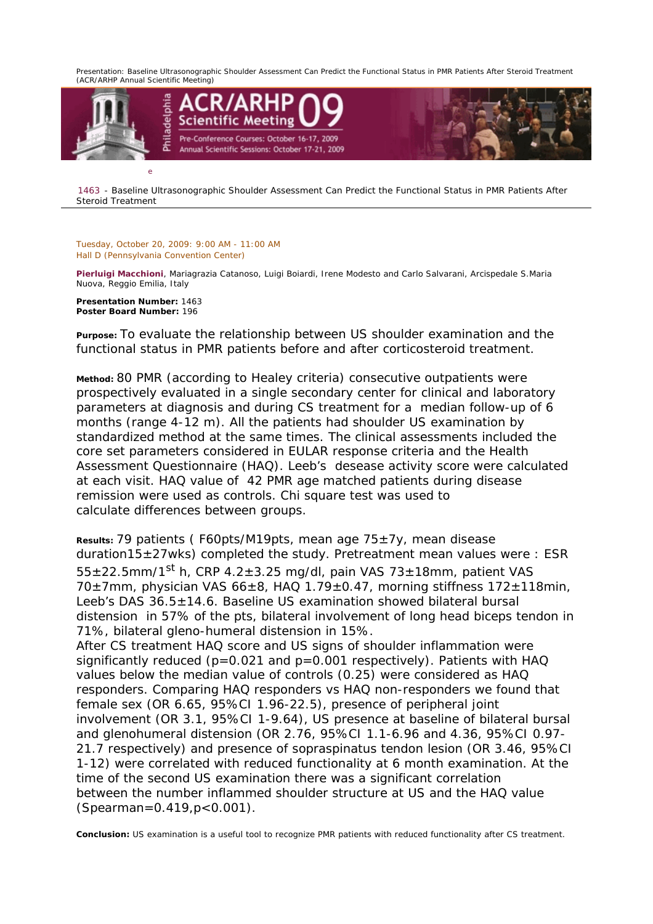*Presentation: Baseline Ultrasonographic Shoulder Assessment Can Predict the Functional Status in PMR Patients After Steroid Treatment (ACR/ARHP Annual Scientific Meeting)* 



1463 - Baseline Ultrasonographic Shoulder Assessment Can Predict the Functional Status in PMR Patients After Steroid Treatment

*Tuesday, October 20, 2009: 9:00 AM - 11:00 AM Hall D (Pennsylvania Convention Center)* 

*Pierluigi Macchioni, Mariagrazia Catanoso, Luigi Boiardi, Irene Modesto and Carlo Salvarani, Arcispedale S.Maria Nuova, Reggio Emilia, Italy* 

**Presentation Number:** 1463 **Poster Board Number:** 196

**Purpose:** To evaluate the relationship between US shoulder examination and the functional status in PMR patients before and after corticosteroid treatment.

**Method:** 80 PMR (according to Healey criteria) consecutive outpatients were prospectively evaluated in a single secondary center for clinical and laboratory parameters at diagnosis and during CS treatment for a median follow-up of 6 months (range 4-12 m). All the patients had shoulder US examination by standardized method at the same times. The clinical assessments included the core set parameters considered in EULAR response criteria and the Health Assessment Questionnaire (HAQ). Leeb's desease activity score were calculated at each visit. HAQ value of 42 PMR age matched patients during disease remission were used as controls. Chi square test was used to calculate differences between groups.

**Results:** 79 patients ( F60pts/M19pts, mean age 75±7y, mean disease duration15±27wks) completed the study. Pretreatment mean values were : ESR  $55\pm22.5$ mm/1st h, CRP 4.2 $\pm$ 3.25 mg/dl, pain VAS 73 $\pm$ 18mm, patient VAS 70±7mm, physician VAS 66±8, HAQ 1.79±0.47, morning stiffness 172±118min, Leeb's DAS 36.5±14.6. Baseline US examination showed bilateral bursal distension in 57% of the pts, bilateral involvement of long head biceps tendon in 71%, bilateral gleno-humeral distension in 15%. After CS treatment HAQ score and US signs of shoulder inflammation were significantly reduced ( $p=0.021$  and  $p=0.001$  respectively). Patients with HAQ values below the median value of controls (0.25) were considered as HAQ responders. Comparing HAQ responders vs HAQ non-responders we found that female sex (OR 6.65, 95%CI 1.96-22.5), presence of peripheral joint involvement (OR 3.1, 95%CI 1-9.64), US presence at baseline of bilateral bursal and glenohumeral distension (OR 2.76, 95%CI 1.1-6.96 and 4.36, 95%CI 0.97- 21.7 respectively) and presence of sopraspinatus tendon lesion (OR 3.46, 95%CI 1-12) were correlated with reduced functionality at 6 month examination. At the time of the second US examination there was a significant correlation between the number inflammed shoulder structure at US and the HAQ value (Spearman=0.419,p<0.001).

**Conclusion:** US examination is a useful tool to recognize PMR patients with reduced functionality after CS treatment.